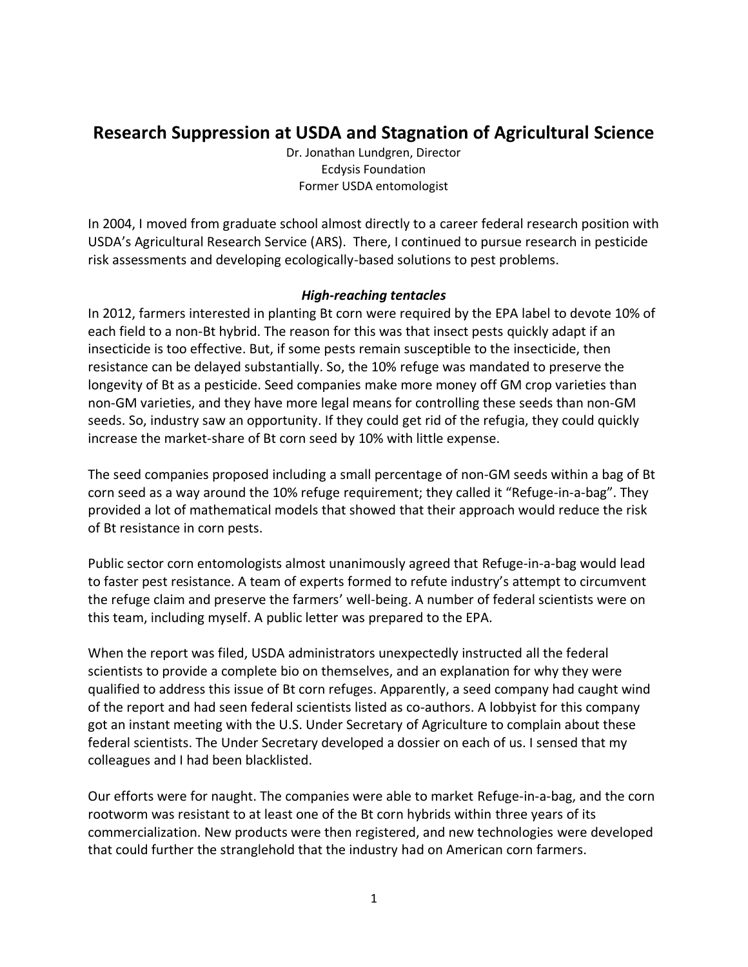# **Research Suppression at USDA and Stagnation of Agricultural Science**

Dr. Jonathan Lundgren, Director Ecdysis Foundation Former USDA entomologist

In 2004, I moved from graduate school almost directly to a career federal research position with USDA's Agricultural Research Service (ARS). There, I continued to pursue research in pesticide risk assessments and developing ecologically-based solutions to pest problems.

## *High-reaching tentacles*

In 2012, farmers interested in planting Bt corn were required by the EPA label to devote 10% of each field to a non-Bt hybrid. The reason for this was that insect pests quickly adapt if an insecticide is too effective. But, if some pests remain susceptible to the insecticide, then resistance can be delayed substantially. So, the 10% refuge was mandated to preserve the longevity of Bt as a pesticide. Seed companies make more money off GM crop varieties than non-GM varieties, and they have more legal means for controlling these seeds than non-GM seeds. So, industry saw an opportunity. If they could get rid of the refugia, they could quickly increase the market-share of Bt corn seed by 10% with little expense.

The seed companies proposed including a small percentage of non-GM seeds within a bag of Bt corn seed as a way around the 10% refuge requirement; they called it "Refuge-in-a-bag". They provided a lot of mathematical models that showed that their approach would reduce the risk of Bt resistance in corn pests.

Public sector corn entomologists almost unanimously agreed that Refuge-in-a-bag would lead to faster pest resistance. A team of experts formed to refute industry's attempt to circumvent the refuge claim and preserve the farmers' well-being. A number of federal scientists were on this team, including myself. A public letter was prepared to the EPA.

When the report was filed, USDA administrators unexpectedly instructed all the federal scientists to provide a complete bio on themselves, and an explanation for why they were qualified to address this issue of Bt corn refuges. Apparently, a seed company had caught wind of the report and had seen federal scientists listed as co-authors. A lobbyist for this company got an instant meeting with the U.S. Under Secretary of Agriculture to complain about these federal scientists. The Under Secretary developed a dossier on each of us. I sensed that my colleagues and I had been blacklisted.

Our efforts were for naught. The companies were able to market Refuge-in-a-bag, and the corn rootworm was resistant to at least one of the Bt corn hybrids within three years of its commercialization. New products were then registered, and new technologies were developed that could further the stranglehold that the industry had on American corn farmers.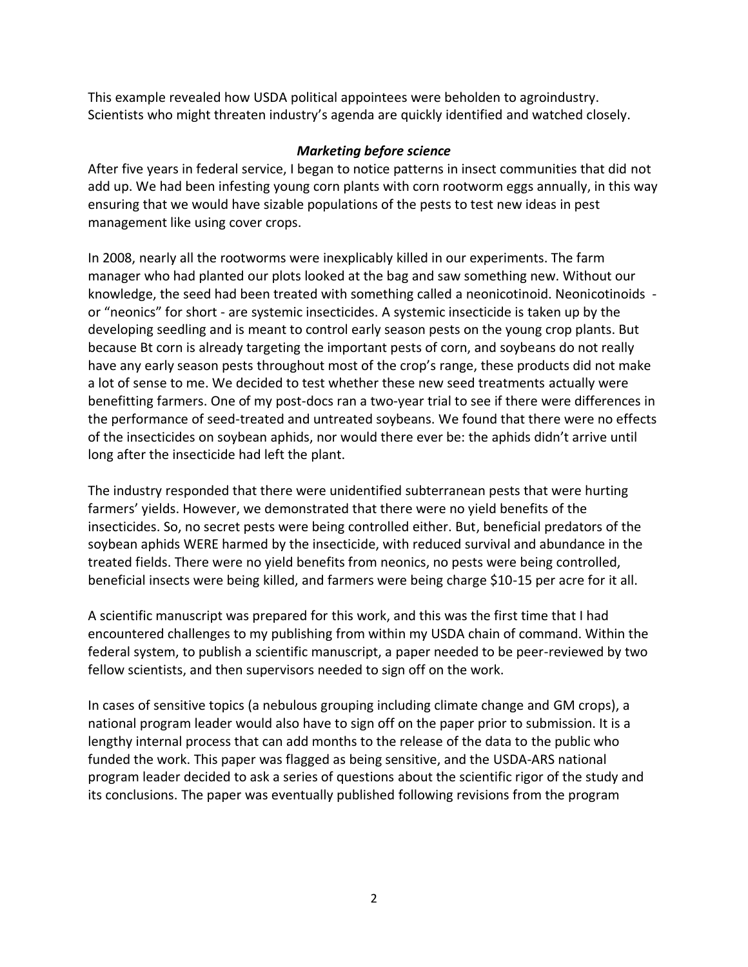This example revealed how USDA political appointees were beholden to agroindustry. Scientists who might threaten industry's agenda are quickly identified and watched closely.

## *Marketing before science*

After five years in federal service, I began to notice patterns in insect communities that did not add up. We had been infesting young corn plants with corn rootworm eggs annually, in this way ensuring that we would have sizable populations of the pests to test new ideas in pest management like using cover crops.

In 2008, nearly all the rootworms were inexplicably killed in our experiments. The farm manager who had planted our plots looked at the bag and saw something new. Without our knowledge, the seed had been treated with something called a neonicotinoid. Neonicotinoids or "neonics" for short - are systemic insecticides. A systemic insecticide is taken up by the developing seedling and is meant to control early season pests on the young crop plants. But because Bt corn is already targeting the important pests of corn, and soybeans do not really have any early season pests throughout most of the crop's range, these products did not make a lot of sense to me. We decided to test whether these new seed treatments actually were benefitting farmers. One of my post-docs ran a two-year trial to see if there were differences in the performance of seed-treated and untreated soybeans. We found that there were no effects of the insecticides on soybean aphids, nor would there ever be: the aphids didn't arrive until long after the insecticide had left the plant.

The industry responded that there were unidentified subterranean pests that were hurting farmers' yields. However, we demonstrated that there were no yield benefits of the insecticides. So, no secret pests were being controlled either. But, beneficial predators of the soybean aphids WERE harmed by the insecticide, with reduced survival and abundance in the treated fields. There were no yield benefits from neonics, no pests were being controlled, beneficial insects were being killed, and farmers were being charge \$10-15 per acre for it all.

A scientific manuscript was prepared for this work, and this was the first time that I had encountered challenges to my publishing from within my USDA chain of command. Within the federal system, to publish a scientific manuscript, a paper needed to be peer-reviewed by two fellow scientists, and then supervisors needed to sign off on the work.

In cases of sensitive topics (a nebulous grouping including climate change and GM crops), a national program leader would also have to sign off on the paper prior to submission. It is a lengthy internal process that can add months to the release of the data to the public who funded the work. This paper was flagged as being sensitive, and the USDA-ARS national program leader decided to ask a series of questions about the scientific rigor of the study and its conclusions. The paper was eventually published following revisions from the program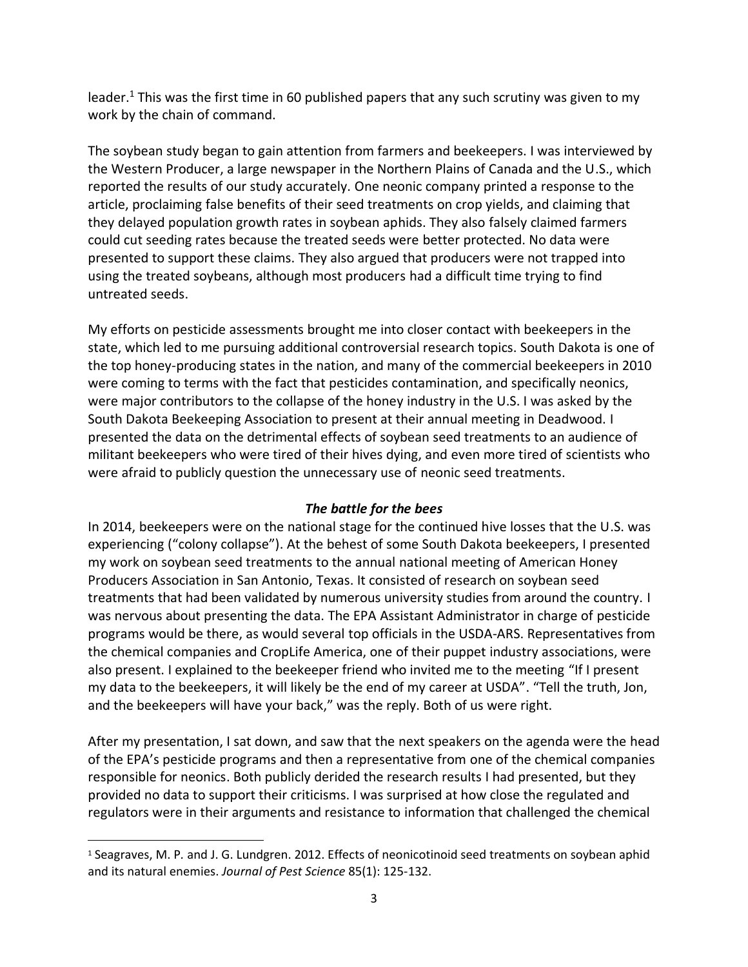leader.<sup>1</sup> This was the first time in 60 published papers that any such scrutiny was given to my work by the chain of command.

The soybean study began to gain attention from farmers and beekeepers. I was interviewed by the Western Producer, a large newspaper in the Northern Plains of Canada and the U.S., which reported the results of our study accurately. One neonic company printed a response to the article, proclaiming false benefits of their seed treatments on crop yields, and claiming that they delayed population growth rates in soybean aphids. They also falsely claimed farmers could cut seeding rates because the treated seeds were better protected. No data were presented to support these claims. They also argued that producers were not trapped into using the treated soybeans, although most producers had a difficult time trying to find untreated seeds.

My efforts on pesticide assessments brought me into closer contact with beekeepers in the state, which led to me pursuing additional controversial research topics. South Dakota is one of the top honey-producing states in the nation, and many of the commercial beekeepers in 2010 were coming to terms with the fact that pesticides contamination, and specifically neonics, were major contributors to the collapse of the honey industry in the U.S. I was asked by the South Dakota Beekeeping Association to present at their annual meeting in Deadwood. I presented the data on the detrimental effects of soybean seed treatments to an audience of militant beekeepers who were tired of their hives dying, and even more tired of scientists who were afraid to publicly question the unnecessary use of neonic seed treatments.

## *The battle for the bees*

In 2014, beekeepers were on the national stage for the continued hive losses that the U.S. was experiencing ("colony collapse"). At the behest of some South Dakota beekeepers, I presented my work on soybean seed treatments to the annual national meeting of American Honey Producers Association in San Antonio, Texas. It consisted of research on soybean seed treatments that had been validated by numerous university studies from around the country. I was nervous about presenting the data. The EPA Assistant Administrator in charge of pesticide programs would be there, as would several top officials in the USDA-ARS. Representatives from the chemical companies and CropLife America, one of their puppet industry associations, were also present. I explained to the beekeeper friend who invited me to the meeting "If I present my data to the beekeepers, it will likely be the end of my career at USDA". "Tell the truth, Jon, and the beekeepers will have your back," was the reply. Both of us were right.

After my presentation, I sat down, and saw that the next speakers on the agenda were the head of the EPA's pesticide programs and then a representative from one of the chemical companies responsible for neonics. Both publicly derided the research results I had presented, but they provided no data to support their criticisms. I was surprised at how close the regulated and regulators were in their arguments and resistance to information that challenged the chemical

<sup>1</sup> Seagraves, M. P*.* and J. G. Lundgren. 2012. Effects of neonicotinoid seed treatments on soybean aphid and its natural enemies. *Journal of Pest Science* 85(1): 125-132.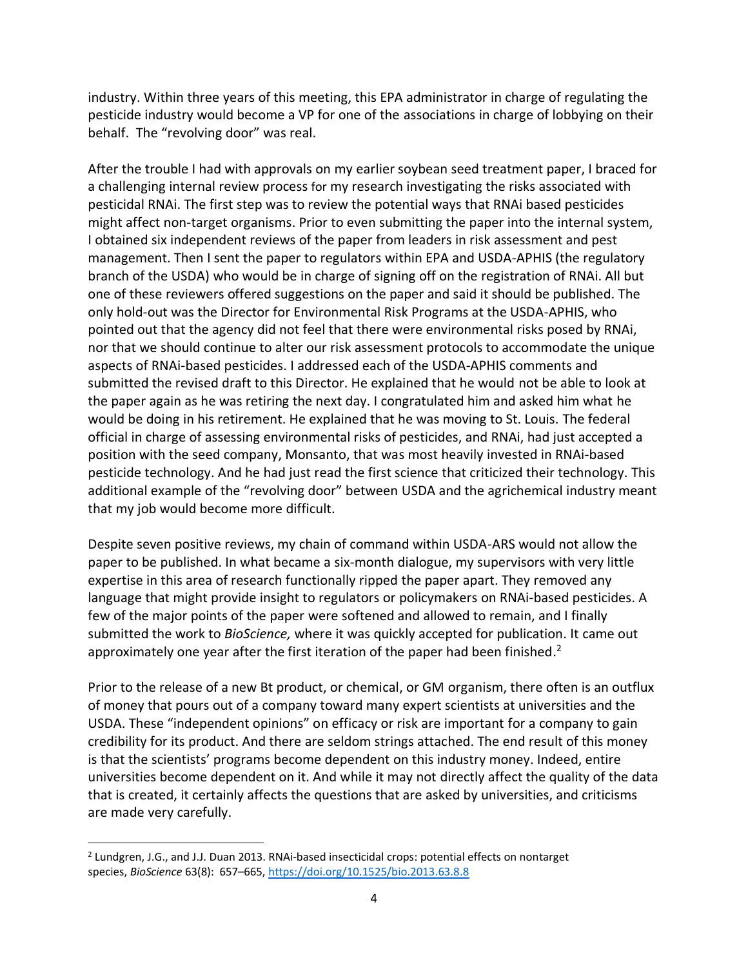industry. Within three years of this meeting, this EPA administrator in charge of regulating the pesticide industry would become a VP for one of the associations in charge of lobbying on their behalf. The "revolving door" was real.

After the trouble I had with approvals on my earlier soybean seed treatment paper, I braced for a challenging internal review process for my research investigating the risks associated with pesticidal RNAi. The first step was to review the potential ways that RNAi based pesticides might affect non-target organisms. Prior to even submitting the paper into the internal system, I obtained six independent reviews of the paper from leaders in risk assessment and pest management. Then I sent the paper to regulators within EPA and USDA-APHIS (the regulatory branch of the USDA) who would be in charge of signing off on the registration of RNAi. All but one of these reviewers offered suggestions on the paper and said it should be published. The only hold-out was the Director for Environmental Risk Programs at the USDA-APHIS, who pointed out that the agency did not feel that there were environmental risks posed by RNAi, nor that we should continue to alter our risk assessment protocols to accommodate the unique aspects of RNAi-based pesticides. I addressed each of the USDA-APHIS comments and submitted the revised draft to this Director. He explained that he would not be able to look at the paper again as he was retiring the next day. I congratulated him and asked him what he would be doing in his retirement. He explained that he was moving to St. Louis. The federal official in charge of assessing environmental risks of pesticides, and RNAi, had just accepted a position with the seed company, Monsanto, that was most heavily invested in RNAi-based pesticide technology. And he had just read the first science that criticized their technology. This additional example of the "revolving door" between USDA and the agrichemical industry meant that my job would become more difficult.

Despite seven positive reviews, my chain of command within USDA-ARS would not allow the paper to be published. In what became a six-month dialogue, my supervisors with very little expertise in this area of research functionally ripped the paper apart. They removed any language that might provide insight to regulators or policymakers on RNAi-based pesticides. A few of the major points of the paper were softened and allowed to remain, and I finally submitted the work to *BioScience,* where it was quickly accepted for publication. It came out approximately one year after the first iteration of the paper had been finished.<sup>2</sup>

Prior to the release of a new Bt product, or chemical, or GM organism, there often is an outflux of money that pours out of a company toward many expert scientists at universities and the USDA. These "independent opinions" on efficacy or risk are important for a company to gain credibility for its product. And there are seldom strings attached. The end result of this money is that the scientists' programs become dependent on this industry money. Indeed, entire universities become dependent on it. And while it may not directly affect the quality of the data that is created, it certainly affects the questions that are asked by universities, and criticisms are made very carefully.

<sup>&</sup>lt;sup>2</sup> Lundgren, J.G., and J.J. Duan 2013. RNAi-based insecticidal crops: potential effects on nontarget species, *BioScience* 63(8): 657–665, <https://doi.org/10.1525/bio.2013.63.8.8>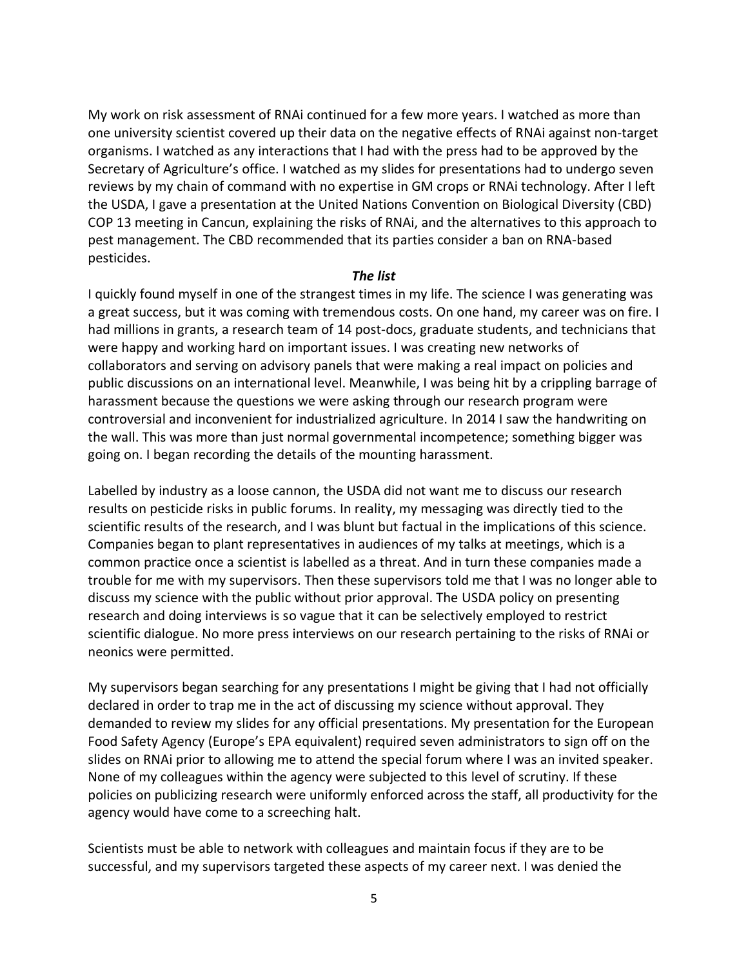My work on risk assessment of RNAi continued for a few more years. I watched as more than one university scientist covered up their data on the negative effects of RNAi against non-target organisms. I watched as any interactions that I had with the press had to be approved by the Secretary of Agriculture's office. I watched as my slides for presentations had to undergo seven reviews by my chain of command with no expertise in GM crops or RNAi technology. After I left the USDA, I gave a presentation at the United Nations Convention on Biological Diversity (CBD) COP 13 meeting in Cancun, explaining the risks of RNAi, and the alternatives to this approach to pest management. The CBD recommended that its parties consider a ban on RNA-based pesticides.

#### *The list*

I quickly found myself in one of the strangest times in my life. The science I was generating was a great success, but it was coming with tremendous costs. On one hand, my career was on fire. I had millions in grants, a research team of 14 post-docs, graduate students, and technicians that were happy and working hard on important issues. I was creating new networks of collaborators and serving on advisory panels that were making a real impact on policies and public discussions on an international level. Meanwhile, I was being hit by a crippling barrage of harassment because the questions we were asking through our research program were controversial and inconvenient for industrialized agriculture. In 2014 I saw the handwriting on the wall. This was more than just normal governmental incompetence; something bigger was going on. I began recording the details of the mounting harassment.

Labelled by industry as a loose cannon, the USDA did not want me to discuss our research results on pesticide risks in public forums. In reality, my messaging was directly tied to the scientific results of the research, and I was blunt but factual in the implications of this science. Companies began to plant representatives in audiences of my talks at meetings, which is a common practice once a scientist is labelled as a threat. And in turn these companies made a trouble for me with my supervisors. Then these supervisors told me that I was no longer able to discuss my science with the public without prior approval. The USDA policy on presenting research and doing interviews is so vague that it can be selectively employed to restrict scientific dialogue. No more press interviews on our research pertaining to the risks of RNAi or neonics were permitted.

My supervisors began searching for any presentations I might be giving that I had not officially declared in order to trap me in the act of discussing my science without approval. They demanded to review my slides for any official presentations. My presentation for the European Food Safety Agency (Europe's EPA equivalent) required seven administrators to sign off on the slides on RNAi prior to allowing me to attend the special forum where I was an invited speaker. None of my colleagues within the agency were subjected to this level of scrutiny. If these policies on publicizing research were uniformly enforced across the staff, all productivity for the agency would have come to a screeching halt.

Scientists must be able to network with colleagues and maintain focus if they are to be successful, and my supervisors targeted these aspects of my career next. I was denied the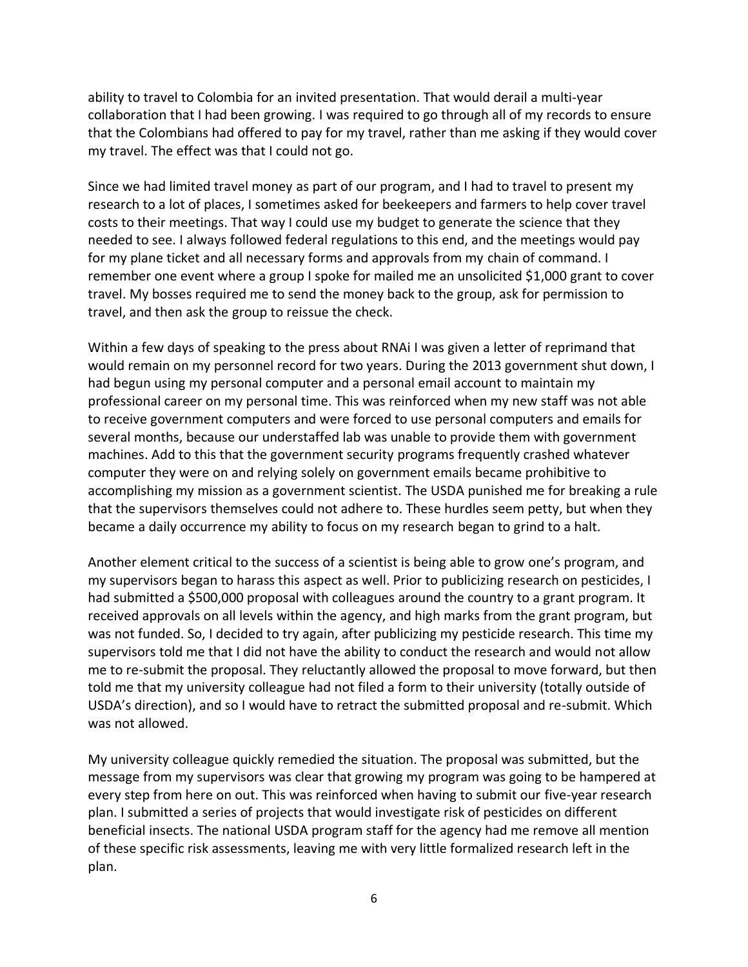ability to travel to Colombia for an invited presentation. That would derail a multi-year collaboration that I had been growing. I was required to go through all of my records to ensure that the Colombians had offered to pay for my travel, rather than me asking if they would cover my travel. The effect was that I could not go.

Since we had limited travel money as part of our program, and I had to travel to present my research to a lot of places, I sometimes asked for beekeepers and farmers to help cover travel costs to their meetings. That way I could use my budget to generate the science that they needed to see. I always followed federal regulations to this end, and the meetings would pay for my plane ticket and all necessary forms and approvals from my chain of command. I remember one event where a group I spoke for mailed me an unsolicited \$1,000 grant to cover travel. My bosses required me to send the money back to the group, ask for permission to travel, and then ask the group to reissue the check.

Within a few days of speaking to the press about RNAi I was given a letter of reprimand that would remain on my personnel record for two years. During the 2013 government shut down, I had begun using my personal computer and a personal email account to maintain my professional career on my personal time. This was reinforced when my new staff was not able to receive government computers and were forced to use personal computers and emails for several months, because our understaffed lab was unable to provide them with government machines. Add to this that the government security programs frequently crashed whatever computer they were on and relying solely on government emails became prohibitive to accomplishing my mission as a government scientist. The USDA punished me for breaking a rule that the supervisors themselves could not adhere to. These hurdles seem petty, but when they became a daily occurrence my ability to focus on my research began to grind to a halt.

Another element critical to the success of a scientist is being able to grow one's program, and my supervisors began to harass this aspect as well. Prior to publicizing research on pesticides, I had submitted a \$500,000 proposal with colleagues around the country to a grant program. It received approvals on all levels within the agency, and high marks from the grant program, but was not funded. So, I decided to try again, after publicizing my pesticide research. This time my supervisors told me that I did not have the ability to conduct the research and would not allow me to re-submit the proposal. They reluctantly allowed the proposal to move forward, but then told me that my university colleague had not filed a form to their university (totally outside of USDA's direction), and so I would have to retract the submitted proposal and re-submit. Which was not allowed.

My university colleague quickly remedied the situation. The proposal was submitted, but the message from my supervisors was clear that growing my program was going to be hampered at every step from here on out. This was reinforced when having to submit our five-year research plan. I submitted a series of projects that would investigate risk of pesticides on different beneficial insects. The national USDA program staff for the agency had me remove all mention of these specific risk assessments, leaving me with very little formalized research left in the plan.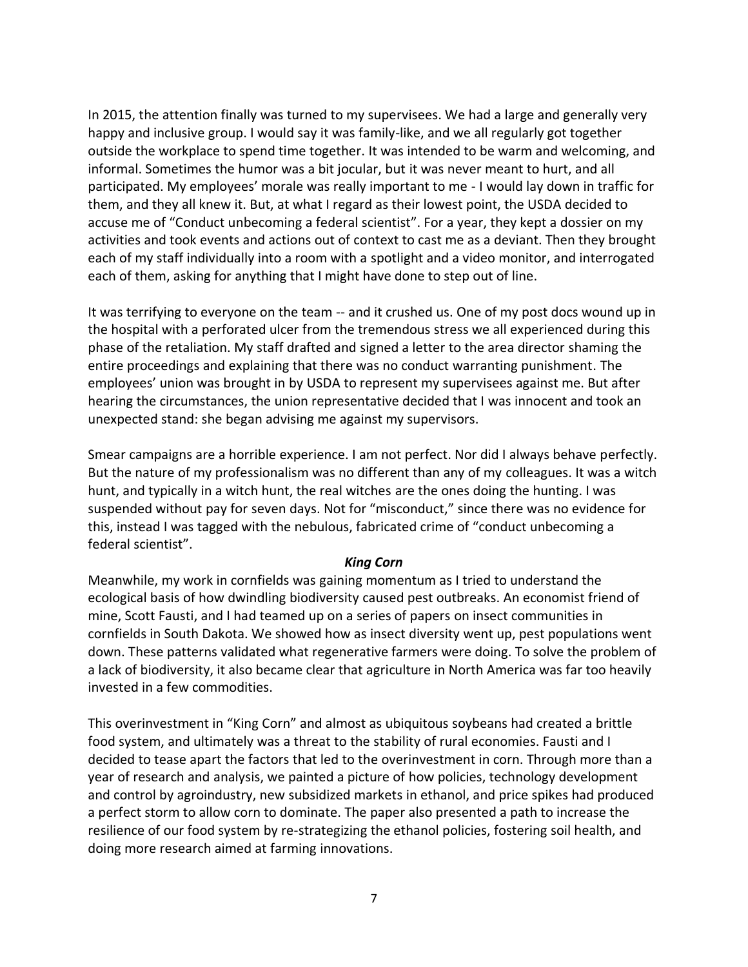In 2015, the attention finally was turned to my supervisees. We had a large and generally very happy and inclusive group. I would say it was family-like, and we all regularly got together outside the workplace to spend time together. It was intended to be warm and welcoming, and informal. Sometimes the humor was a bit jocular, but it was never meant to hurt, and all participated. My employees' morale was really important to me - I would lay down in traffic for them, and they all knew it. But, at what I regard as their lowest point, the USDA decided to accuse me of "Conduct unbecoming a federal scientist". For a year, they kept a dossier on my activities and took events and actions out of context to cast me as a deviant. Then they brought each of my staff individually into a room with a spotlight and a video monitor, and interrogated each of them, asking for anything that I might have done to step out of line.

It was terrifying to everyone on the team -- and it crushed us. One of my post docs wound up in the hospital with a perforated ulcer from the tremendous stress we all experienced during this phase of the retaliation. My staff drafted and signed a letter to the area director shaming the entire proceedings and explaining that there was no conduct warranting punishment. The employees' union was brought in by USDA to represent my supervisees against me. But after hearing the circumstances, the union representative decided that I was innocent and took an unexpected stand: she began advising me against my supervisors.

Smear campaigns are a horrible experience. I am not perfect. Nor did I always behave perfectly. But the nature of my professionalism was no different than any of my colleagues. It was a witch hunt, and typically in a witch hunt, the real witches are the ones doing the hunting. I was suspended without pay for seven days. Not for "misconduct," since there was no evidence for this, instead I was tagged with the nebulous, fabricated crime of "conduct unbecoming a federal scientist".

#### *King Corn*

Meanwhile, my work in cornfields was gaining momentum as I tried to understand the ecological basis of how dwindling biodiversity caused pest outbreaks. An economist friend of mine, Scott Fausti, and I had teamed up on a series of papers on insect communities in cornfields in South Dakota. We showed how as insect diversity went up, pest populations went down. These patterns validated what regenerative farmers were doing. To solve the problem of a lack of biodiversity, it also became clear that agriculture in North America was far too heavily invested in a few commodities.

This overinvestment in "King Corn" and almost as ubiquitous soybeans had created a brittle food system, and ultimately was a threat to the stability of rural economies. Fausti and I decided to tease apart the factors that led to the overinvestment in corn. Through more than a year of research and analysis, we painted a picture of how policies, technology development and control by agroindustry, new subsidized markets in ethanol, and price spikes had produced a perfect storm to allow corn to dominate. The paper also presented a path to increase the resilience of our food system by re-strategizing the ethanol policies, fostering soil health, and doing more research aimed at farming innovations.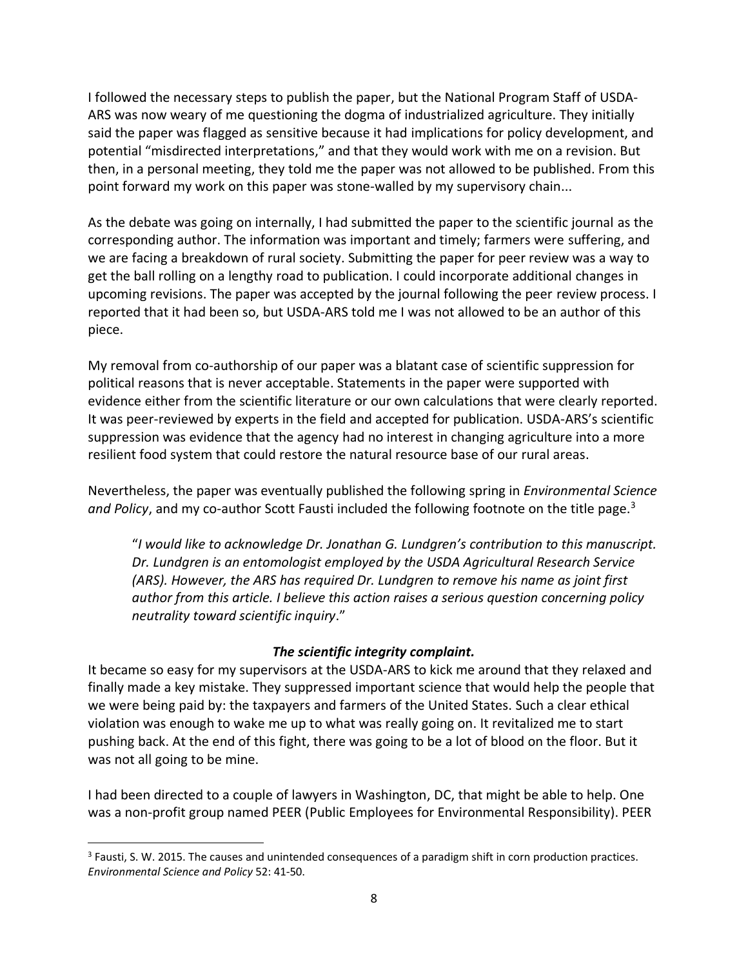I followed the necessary steps to publish the paper, but the National Program Staff of USDA-ARS was now weary of me questioning the dogma of industrialized agriculture. They initially said the paper was flagged as sensitive because it had implications for policy development, and potential "misdirected interpretations," and that they would work with me on a revision. But then, in a personal meeting, they told me the paper was not allowed to be published. From this point forward my work on this paper was stone-walled by my supervisory chain...

As the debate was going on internally, I had submitted the paper to the scientific journal as the corresponding author. The information was important and timely; farmers were suffering, and we are facing a breakdown of rural society. Submitting the paper for peer review was a way to get the ball rolling on a lengthy road to publication. I could incorporate additional changes in upcoming revisions. The paper was accepted by the journal following the peer review process. I reported that it had been so, but USDA-ARS told me I was not allowed to be an author of this piece.

My removal from co-authorship of our paper was a blatant case of scientific suppression for political reasons that is never acceptable. Statements in the paper were supported with evidence either from the scientific literature or our own calculations that were clearly reported. It was peer-reviewed by experts in the field and accepted for publication. USDA-ARS's scientific suppression was evidence that the agency had no interest in changing agriculture into a more resilient food system that could restore the natural resource base of our rural areas.

Nevertheless, the paper was eventually published the following spring in *Environmental Science*  and Policy, and my co-author Scott Fausti included the following footnote on the title page.<sup>3</sup>

"*I would like to acknowledge Dr. Jonathan G. Lundgren's contribution to this manuscript. Dr. Lundgren is an entomologist employed by the USDA Agricultural Research Service (ARS). However, the ARS has required Dr. Lundgren to remove his name as joint first author from this article. I believe this action raises a serious question concerning policy neutrality toward scientific inquiry*."

### *The scientific integrity complaint.*

It became so easy for my supervisors at the USDA-ARS to kick me around that they relaxed and finally made a key mistake. They suppressed important science that would help the people that we were being paid by: the taxpayers and farmers of the United States. Such a clear ethical violation was enough to wake me up to what was really going on. It revitalized me to start pushing back. At the end of this fight, there was going to be a lot of blood on the floor. But it was not all going to be mine.

I had been directed to a couple of lawyers in Washington, DC, that might be able to help. One was a non-profit group named PEER (Public Employees for Environmental Responsibility). PEER

<sup>&</sup>lt;sup>3</sup> Fausti, S. W. 2015. The causes and unintended consequences of a paradigm shift in corn production practices. *Environmental Science and Policy* 52: 41-50.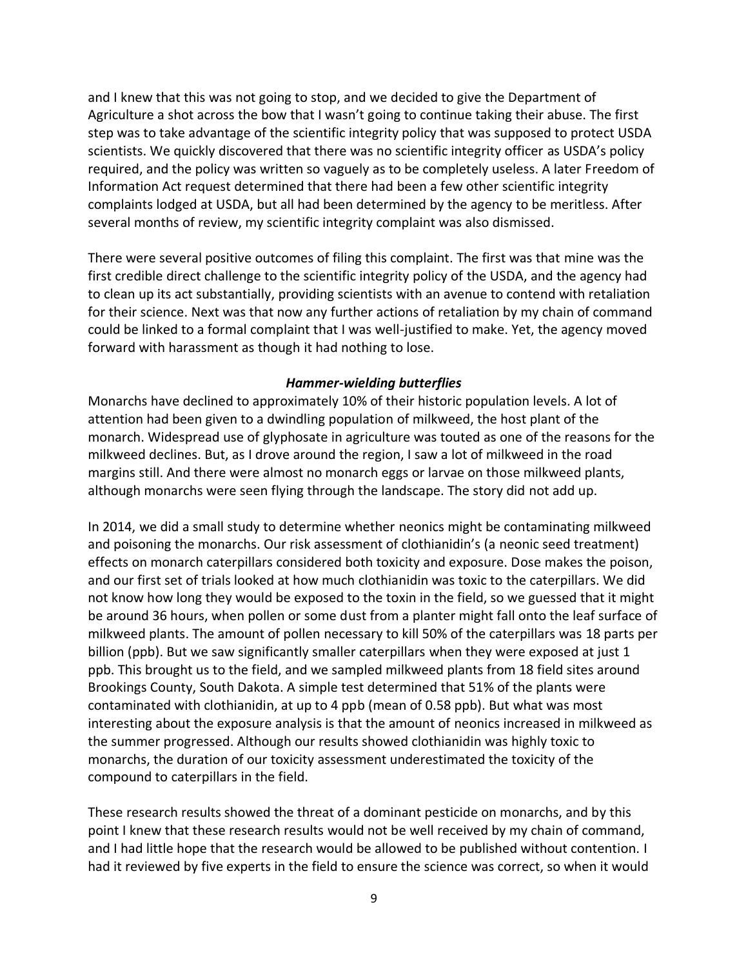and I knew that this was not going to stop, and we decided to give the Department of Agriculture a shot across the bow that I wasn't going to continue taking their abuse. The first step was to take advantage of the scientific integrity policy that was supposed to protect USDA scientists. We quickly discovered that there was no scientific integrity officer as USDA's policy required, and the policy was written so vaguely as to be completely useless. A later Freedom of Information Act request determined that there had been a few other scientific integrity complaints lodged at USDA, but all had been determined by the agency to be meritless. After several months of review, my scientific integrity complaint was also dismissed.

There were several positive outcomes of filing this complaint. The first was that mine was the first credible direct challenge to the scientific integrity policy of the USDA, and the agency had to clean up its act substantially, providing scientists with an avenue to contend with retaliation for their science. Next was that now any further actions of retaliation by my chain of command could be linked to a formal complaint that I was well-justified to make. Yet, the agency moved forward with harassment as though it had nothing to lose.

#### *Hammer-wielding butterflies*

Monarchs have declined to approximately 10% of their historic population levels. A lot of attention had been given to a dwindling population of milkweed, the host plant of the monarch. Widespread use of glyphosate in agriculture was touted as one of the reasons for the milkweed declines. But, as I drove around the region, I saw a lot of milkweed in the road margins still. And there were almost no monarch eggs or larvae on those milkweed plants, although monarchs were seen flying through the landscape. The story did not add up.

In 2014, we did a small study to determine whether neonics might be contaminating milkweed and poisoning the monarchs. Our risk assessment of clothianidin's (a neonic seed treatment) effects on monarch caterpillars considered both toxicity and exposure. Dose makes the poison, and our first set of trials looked at how much clothianidin was toxic to the caterpillars. We did not know how long they would be exposed to the toxin in the field, so we guessed that it might be around 36 hours, when pollen or some dust from a planter might fall onto the leaf surface of milkweed plants. The amount of pollen necessary to kill 50% of the caterpillars was 18 parts per billion (ppb). But we saw significantly smaller caterpillars when they were exposed at just 1 ppb. This brought us to the field, and we sampled milkweed plants from 18 field sites around Brookings County, South Dakota. A simple test determined that 51% of the plants were contaminated with clothianidin, at up to 4 ppb (mean of 0.58 ppb). But what was most interesting about the exposure analysis is that the amount of neonics increased in milkweed as the summer progressed. Although our results showed clothianidin was highly toxic to monarchs, the duration of our toxicity assessment underestimated the toxicity of the compound to caterpillars in the field.

These research results showed the threat of a dominant pesticide on monarchs, and by this point I knew that these research results would not be well received by my chain of command, and I had little hope that the research would be allowed to be published without contention. I had it reviewed by five experts in the field to ensure the science was correct, so when it would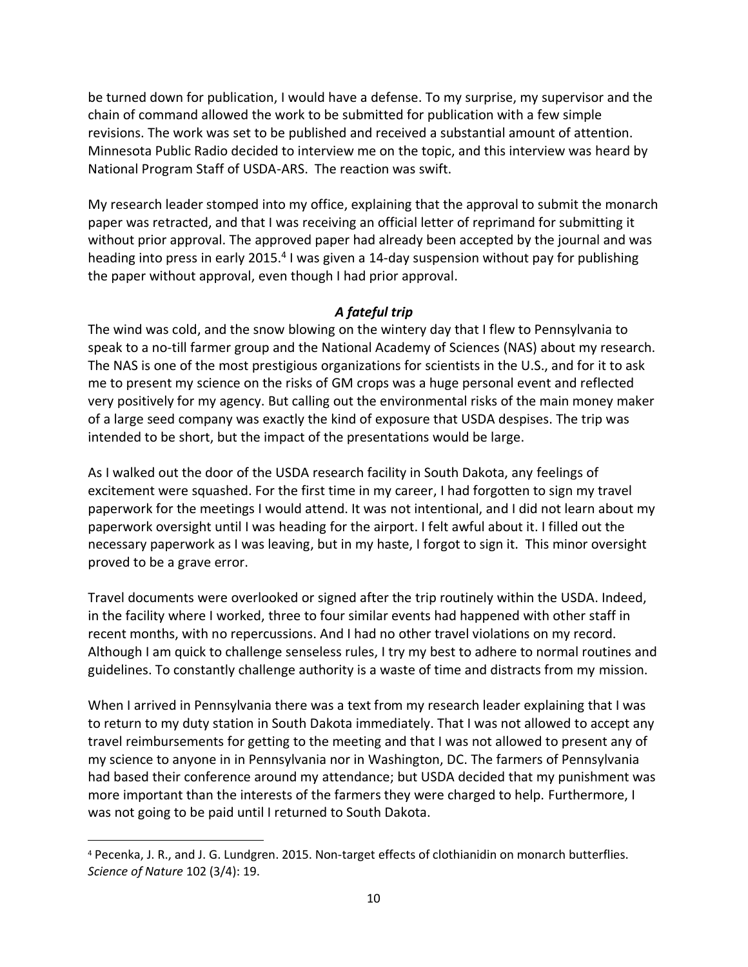be turned down for publication, I would have a defense. To my surprise, my supervisor and the chain of command allowed the work to be submitted for publication with a few simple revisions. The work was set to be published and received a substantial amount of attention. Minnesota Public Radio decided to interview me on the topic, and this interview was heard by National Program Staff of USDA-ARS. The reaction was swift.

My research leader stomped into my office, explaining that the approval to submit the monarch paper was retracted, and that I was receiving an official letter of reprimand for submitting it without prior approval. The approved paper had already been accepted by the journal and was heading into press in early 2015.<sup>4</sup> I was given a 14-day suspension without pay for publishing the paper without approval, even though I had prior approval.

# *A fateful trip*

The wind was cold, and the snow blowing on the wintery day that I flew to Pennsylvania to speak to a no-till farmer group and the National Academy of Sciences (NAS) about my research. The NAS is one of the most prestigious organizations for scientists in the U.S., and for it to ask me to present my science on the risks of GM crops was a huge personal event and reflected very positively for my agency. But calling out the environmental risks of the main money maker of a large seed company was exactly the kind of exposure that USDA despises. The trip was intended to be short, but the impact of the presentations would be large.

As I walked out the door of the USDA research facility in South Dakota, any feelings of excitement were squashed. For the first time in my career, I had forgotten to sign my travel paperwork for the meetings I would attend. It was not intentional, and I did not learn about my paperwork oversight until I was heading for the airport. I felt awful about it. I filled out the necessary paperwork as I was leaving, but in my haste, I forgot to sign it. This minor oversight proved to be a grave error.

Travel documents were overlooked or signed after the trip routinely within the USDA. Indeed, in the facility where I worked, three to four similar events had happened with other staff in recent months, with no repercussions. And I had no other travel violations on my record. Although I am quick to challenge senseless rules, I try my best to adhere to normal routines and guidelines. To constantly challenge authority is a waste of time and distracts from my mission.

When I arrived in Pennsylvania there was a text from my research leader explaining that I was to return to my duty station in South Dakota immediately. That I was not allowed to accept any travel reimbursements for getting to the meeting and that I was not allowed to present any of my science to anyone in in Pennsylvania nor in Washington, DC. The farmers of Pennsylvania had based their conference around my attendance; but USDA decided that my punishment was more important than the interests of the farmers they were charged to help. Furthermore, I was not going to be paid until I returned to South Dakota.

<sup>4</sup> Pecenka, J. R., and J. G. Lundgren. 2015. Non-target effects of clothianidin on monarch butterflies. *Science of Nature* 102 (3/4): 19.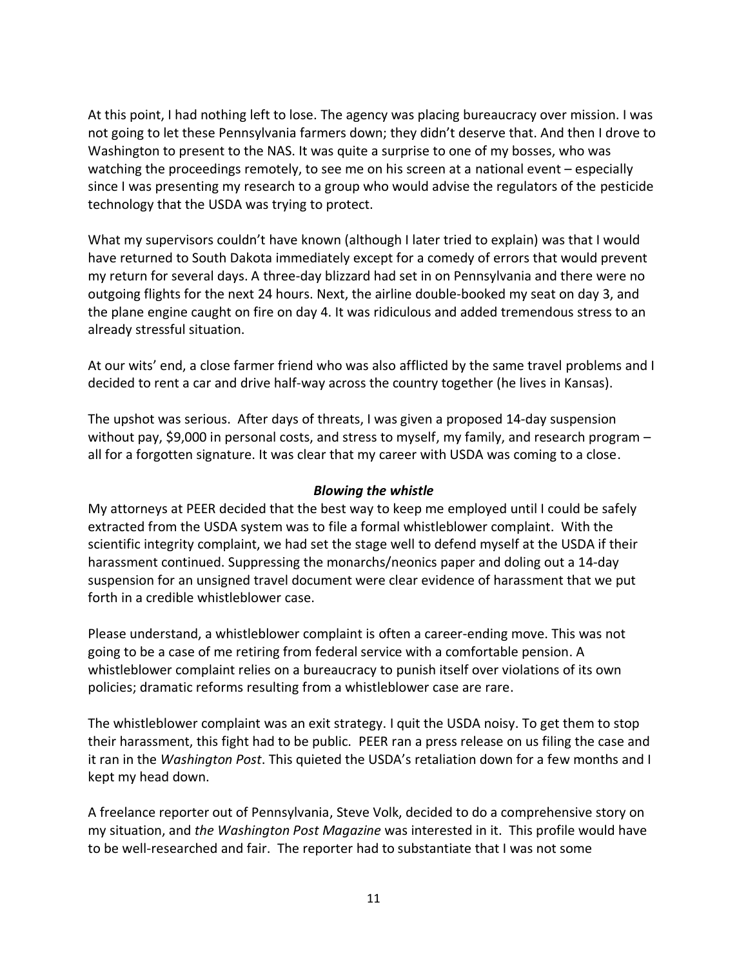At this point, I had nothing left to lose. The agency was placing bureaucracy over mission. I was not going to let these Pennsylvania farmers down; they didn't deserve that. And then I drove to Washington to present to the NAS. It was quite a surprise to one of my bosses, who was watching the proceedings remotely, to see me on his screen at a national event – especially since I was presenting my research to a group who would advise the regulators of the pesticide technology that the USDA was trying to protect.

What my supervisors couldn't have known (although I later tried to explain) was that I would have returned to South Dakota immediately except for a comedy of errors that would prevent my return for several days. A three-day blizzard had set in on Pennsylvania and there were no outgoing flights for the next 24 hours. Next, the airline double-booked my seat on day 3, and the plane engine caught on fire on day 4. It was ridiculous and added tremendous stress to an already stressful situation.

At our wits' end, a close farmer friend who was also afflicted by the same travel problems and I decided to rent a car and drive half-way across the country together (he lives in Kansas).

The upshot was serious. After days of threats, I was given a proposed 14-day suspension without pay, \$9,000 in personal costs, and stress to myself, my family, and research program all for a forgotten signature. It was clear that my career with USDA was coming to a close.

### *Blowing the whistle*

My attorneys at PEER decided that the best way to keep me employed until I could be safely extracted from the USDA system was to file a formal whistleblower complaint. With the scientific integrity complaint, we had set the stage well to defend myself at the USDA if their harassment continued. Suppressing the monarchs/neonics paper and doling out a 14-day suspension for an unsigned travel document were clear evidence of harassment that we put forth in a credible whistleblower case.

Please understand, a whistleblower complaint is often a career-ending move. This was not going to be a case of me retiring from federal service with a comfortable pension. A whistleblower complaint relies on a bureaucracy to punish itself over violations of its own policies; dramatic reforms resulting from a whistleblower case are rare.

The whistleblower complaint was an exit strategy. I quit the USDA noisy. To get them to stop their harassment, this fight had to be public. PEER ran a press release on us filing the case and it ran in the *Washington Post*. This quieted the USDA's retaliation down for a few months and I kept my head down.

A freelance reporter out of Pennsylvania, Steve Volk, decided to do a comprehensive story on my situation, and *the Washington Post Magazine* was interested in it. This profile would have to be well-researched and fair. The reporter had to substantiate that I was not some